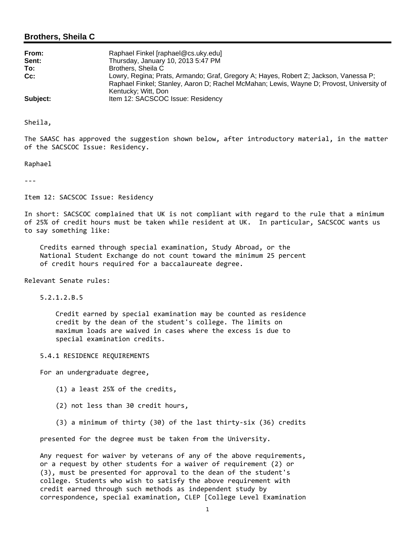## **Brothers, Sheila C**

| From:    | Raphael Finkel [raphael@cs.uky.edu]                                                                                                                                                                     |
|----------|---------------------------------------------------------------------------------------------------------------------------------------------------------------------------------------------------------|
| Sent:    | Thursday, January 10, 2013 5:47 PM                                                                                                                                                                      |
| To:      | Brothers, Sheila C                                                                                                                                                                                      |
| $Cc$ :   | Lowry, Regina; Prats, Armando; Graf, Gregory A; Hayes, Robert Z; Jackson, Vanessa P;<br>Raphael Finkel; Stanley, Aaron D; Rachel McMahan; Lewis, Wayne D; Provost, University of<br>Kentucky; Witt, Don |
| Subject: | Item 12: SACSCOC Issue: Residency                                                                                                                                                                       |

Sheila,

The SAASC has approved the suggestion shown below, after introductory material, in the matter of the SACSCOC Issue: Residency.

Raphael

‐‐‐

Item 12: SACSCOC Issue: Residency

In short: SACSCOC complained that UK is not compliant with regard to the rule that a minimum of 25% of credit hours must be taken while resident at UK. In particular, SACSCOC wants us to say something like:

 Credits earned through special examination, Study Abroad, or the National Student Exchange do not count toward the minimum 25 percent of credit hours required for a baccalaureate degree.

Relevant Senate rules:

5.2.1.2.B.5

 Credit earned by special examination may be counted as residence credit by the dean of the student's college. The limits on maximum loads are waived in cases where the excess is due to special examination credits.

5.4.1 RESIDENCE REQUIREMENTS

For an undergraduate degree,

- (1) a least 25% of the credits,
- (2) not less than 30 credit hours,
- (3) a minimum of thirty (30) of the last thirty‐six (36) credits

presented for the degree must be taken from the University.

 Any request for waiver by veterans of any of the above requirements, or a request by other students for a waiver of requirement (2) or (3), must be presented for approval to the dean of the student's college. Students who wish to satisfy the above requirement with credit earned through such methods as independent study by correspondence, special examination, CLEP [College Level Examination

1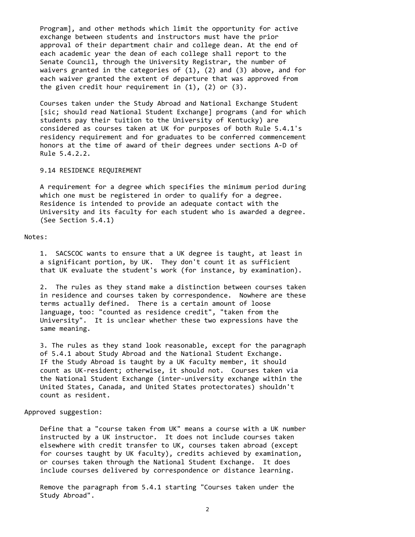Program], and other methods which limit the opportunity for active exchange between students and instructors must have the prior approval of their department chair and college dean. At the end of each academic year the dean of each college shall report to the Senate Council, through the University Registrar, the number of waivers granted in the categories of  $(1)$ ,  $(2)$  and  $(3)$  above, and for each waiver granted the extent of departure that was approved from the given credit hour requirement in  $(1)$ ,  $(2)$  or  $(3)$ .

 Courses taken under the Study Abroad and National Exchange Student [sic; should read National Student Exchange] programs (and for which students pay their tuition to the University of Kentucky) are considered as courses taken at UK for purposes of both Rule 5.4.1's residency requirement and for graduates to be conferred commencement honors at the time of award of their degrees under sections A‐D of Rule 5.4.2.2.

### 9.14 RESIDENCE REQUIREMENT

 A requirement for a degree which specifies the minimum period during which one must be registered in order to qualify for a degree. Residence is intended to provide an adequate contact with the University and its faculty for each student who is awarded a degree. (See Section 5.4.1)

#### Notes:

 1. SACSCOC wants to ensure that a UK degree is taught, at least in a significant portion, by UK. They don't count it as sufficient that UK evaluate the student's work (for instance, by examination).

 2. The rules as they stand make a distinction between courses taken in residence and courses taken by correspondence. Nowhere are these terms actually defined. There is a certain amount of loose language, too: "counted as residence credit", "taken from the University". It is unclear whether these two expressions have the same meaning.

 3. The rules as they stand look reasonable, except for the paragraph of 5.4.1 about Study Abroad and the National Student Exchange. If the Study Abroad is taught by a UK faculty member, it should count as UK‐resident; otherwise, it should not. Courses taken via the National Student Exchange (inter‐university exchange within the United States, Canada, and United States protectorates) shouldn't count as resident.

#### Approved suggestion:

 Define that a "course taken from UK" means a course with a UK number instructed by a UK instructor. It does not include courses taken elsewhere with credit transfer to UK, courses taken abroad (except for courses taught by UK faculty), credits achieved by examination, or courses taken through the National Student Exchange. It does include courses delivered by correspondence or distance learning.

 Remove the paragraph from 5.4.1 starting "Courses taken under the Study Abroad".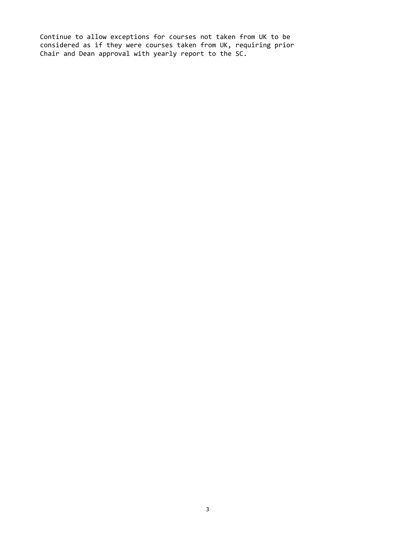Continue to allow exceptions for courses not taken from UK to be considered as if they were courses taken from UK, requiring prior Chair and Dean approval with yearly report to the SC.